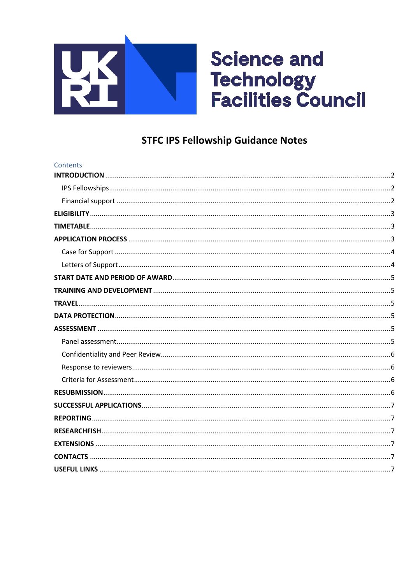

# **Science and** Technology<br>Facilities Council

# **STFC IPS Fellowship Guidance Notes**

| Contents |  |
|----------|--|
|          |  |
|          |  |
|          |  |
|          |  |
|          |  |
|          |  |
|          |  |
|          |  |
|          |  |
|          |  |
|          |  |
|          |  |
|          |  |
|          |  |
|          |  |
|          |  |
|          |  |
|          |  |
|          |  |
|          |  |
|          |  |
|          |  |
|          |  |
|          |  |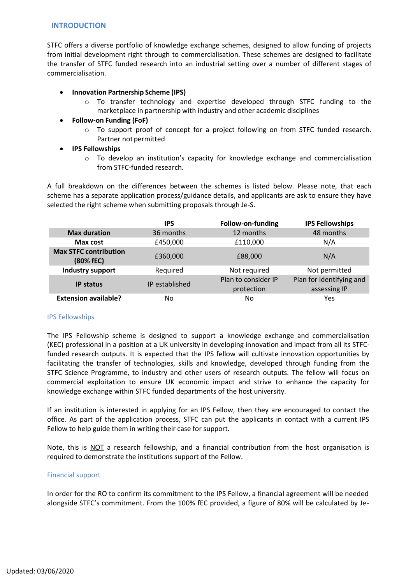#### <span id="page-1-0"></span>**INTRODUCTION**

STFC offers a diverse portfolio of knowledge exchange schemes, designed to allow funding of projects from initial development right through to commercialisation. These schemes are designed to facilitate the transfer of STFC funded research into an industrial setting over a number of different stages of commercialisation.

# • **Innovation Partnership Scheme (IPS)**

- o To transfer technology and expertise developed through STFC funding to the marketplace in partnership with industry and other academic disciplines
- **Follow‐on Funding (FoF)**
	- $\circ$  To support proof of concept for a project following on from STFC funded research. Partner not permitted
- **IPS Fellowships**
	- o To develop an institution's capacity for knowledge exchange and commercialisation from STFC‐funded research.

A full breakdown on the differences between the schemes is listed below. Please note, that each scheme has a separate application process/guidance details, and applicants are ask to ensure they have selected the right scheme when submitting proposals through Je-S.

|                                           | <b>IPS</b>     | Follow-on-funding                 | <b>IPS Fellowships</b>                   |
|-------------------------------------------|----------------|-----------------------------------|------------------------------------------|
| <b>Max duration</b>                       | 36 months      | 12 months                         | 48 months                                |
| Max cost                                  | £450,000       | £110,000                          | N/A                                      |
| <b>Max STFC contribution</b><br>(80% fEC) | £360,000       | £88,000                           | N/A                                      |
| <b>Industry support</b>                   | Required       | Not required                      | Not permitted                            |
| <b>IP status</b>                          | IP established | Plan to consider IP<br>protection | Plan for identifying and<br>assessing IP |
| <b>Extension available?</b>               | No             | No                                | Yes                                      |

#### <span id="page-1-1"></span>IPS Fellowships

The IPS Fellowship scheme is designed to support a knowledge exchange and commercialisation (KEC) professional in a position at a UK university in developing innovation and impact from all its STFCfunded research outputs. It is expected that the IPS fellow will cultivate innovation opportunities by facilitating the transfer of technologies, skills and knowledge, developed through funding from the STFC Science Programme, to industry and other users of research outputs. The fellow will focus on commercial exploitation to ensure UK economic impact and strive to enhance the capacity for knowledge exchange within STFC funded departments of the host university.

If an institution is interested in applying for an IPS Fellow, then they are encouraged to contact the office. As part of the application process, STFC can put the applicants in contact with a current IPS Fellow to help guide them in writing their case for support.

Note, this is NOT a research fellowship, and a financial contribution from the host organisation is required to demonstrate the institutions support of the Fellow.

#### <span id="page-1-2"></span>Financial support

In order for the RO to confirm its commitment to the IPS Fellow, a financial agreement will be needed alongside STFC's commitment. From the 100% fEC provided, a figure of 80% will be calculated by Je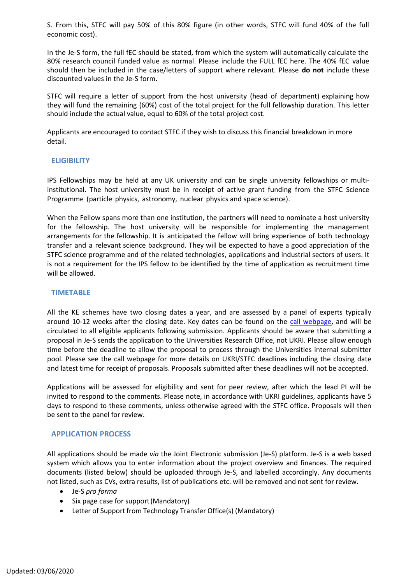S. From this, STFC will pay 50% of this 80% figure (in other words, STFC will fund 40% of the full economic cost).

In the Je-S form, the full fEC should be stated, from which the system will automatically calculate the 80% research council funded value as normal. Please include the FULL fEC here. The 40% fEC value should then be included in the case/letters of support where relevant. Please **do not** include these discounted values in the Je-S form.

STFC will require a letter of support from the host university (head of department) explaining how they will fund the remaining (60%) cost of the total project for the full fellowship duration. This letter should include the actual value, equal to 60% of the total project cost.

Applicants are encouraged to contact STFC if they wish to discuss this financial breakdown in more detail.

# <span id="page-2-0"></span>**ELIGIBILITY**

IPS Fellowships may be held at any UK university and can be single university fellowships or multiinstitutional. The host university must be in receipt of active grant funding from the STFC Science Programme (particle physics, astronomy, nuclear physics and space science).

When the Fellow spans more than one institution, the partners will need to nominate a host university for the fellowship. The host university will be responsible for implementing the management arrangements for the fellowship. It is anticipated the fellow will bring experience of both technology transfer and a relevant science background. They will be expected to have a good appreciation of the STFC science programme and of the related technologies, applications and industrial sectors of users. It is not a requirement for the IPS fellow to be identified by the time of application as recruitment time will be allowed.

#### <span id="page-2-1"></span>**TIMETABLE**

All the KE schemes have two closing dates a year, and are assessed by a panel of experts typically around 10-12 weeks after the closing date. Key dates can be found on the [call webpage,](https://stfc.ukri.org/funding/research-grants/funding-opportunities/funding-calls/) and will be circulated to all eligible applicants following submission. Applicants should be aware that submitting a proposal in Je-S sends the application to the Universities Research Office, not UKRI. Please allow enough time before the deadline to allow the proposal to process through the Universities internal submitter pool. Please see the call webpage for more details on UKRI/STFC deadlines including the closing date and latest time for receipt of proposals. Proposals submitted after these deadlines will not be accepted.

Applications will be assessed for eligibility and sent for peer review, after which the lead PI will be invited to respond to the comments. Please note, in accordance with UKRI guidelines, applicants have 5 days to respond to these comments, unless otherwise agreed with the STFC office. Proposals will then be sent to the panel for review.

#### <span id="page-2-2"></span>**APPLICATION PROCESS**

All applications should be made *via* the Joint Electronic submission (Je-S) platform. Je‐S is a web based system which allows you to enter information about the project overview and finances. The required documents (listed below) should be uploaded through Je-S, and labelled accordingly. Any documents not listed, such as CVs, extra results, list of publications etc. will be removed and not sent for review.

- Je-S *pro forma*
- Six page case for support(Mandatory)
- Letter of Support from Technology Transfer Office(s) (Mandatory)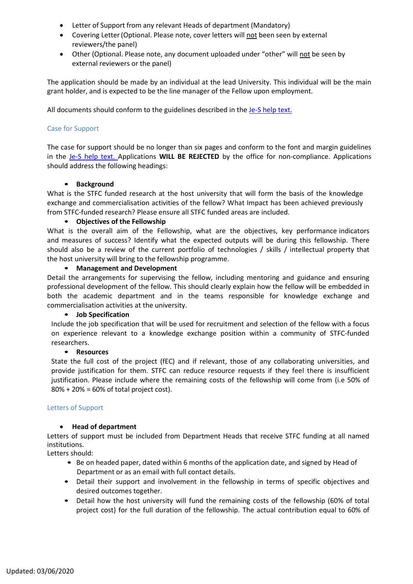- Letter of Support from any relevant Heads of department (Mandatory)
- Covering Letter(Optional. Please note, cover letters will not been seen by external reviewers/the panel)
- Other (Optional. Please note, any document uploaded under "other" will not be seen by external reviewers or the panel)

The application should be made by an individual at the lead University. This individual will be the main grant holder, and is expected to be the line manager of the Fellow upon employment.

All documents should conform to the guidelines described in the Je-S help text.

# <span id="page-3-0"></span>Case for Support

The case for support should be no longer than six pages and conform to the font and margin guidelines in the Je-S help text. Applications **WILL BE REJECTED** by the office for non-compliance. Applications should address the following headings:

#### • **Background**

What is the STFC funded research at the host university that will form the basis of the knowledge exchange and commercialisation activities of the fellow? What Impact has been achieved previously from STFC-funded research? Please ensure all STFC funded areas are included.

# • **Objectives of the Fellowship**

What is the overall aim of the Fellowship, what are the objectives, key performance indicators and measures of success? Identify what the expected outputs will be during this fellowship. There should also be a review of the current portfolio of technologies / skills / intellectual property that the host university will bring to the fellowship programme.

#### • **Management and Development**

Detail the arrangements for supervising the fellow, including mentoring and guidance and ensuring professional development of the fellow. This should clearly explain how the fellow will be embedded in both the academic department and in the teams responsible for knowledge exchange and commercialisation activities at the university.

#### • **Job Specification**

Include the job specification that will be used for recruitment and selection of the fellow with a focus on experience relevant to a knowledge exchange position within a community of STFC-funded researchers.

#### • **Resources**

State the full cost of the project (fEC) and if relevant, those of any collaborating universities, and provide justification for them. STFC can reduce resource requests if they feel there is insufficient justification. Please include where the remaining costs of the fellowship will come from (i.e 50% of 80% + 20% = 60% of total project cost).

#### <span id="page-3-1"></span>Letters of Support

#### • **Head of department**

Letters of support must be included from Department Heads that receive STFC funding at all named institutions.

Letters should:

- Be on headed paper, dated within 6 months of the application date, and signed by Head of Department or as an email with full contact details.
- Detail their support and involvement in the fellowship in terms of specific objectives and desired outcomes together.
- Detail how the host university will fund the remaining costs of the fellowship (60% of total project cost) for the full duration of the fellowship. The actual contribution equal to 60% of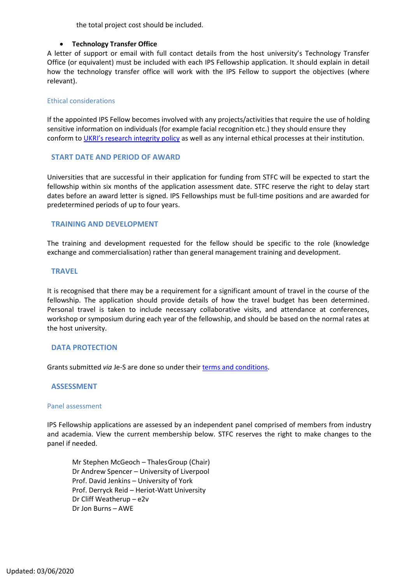the total project cost should be included.

#### • **Technology Transfer Office**

A letter of support or email with full contact details from the host university's Technology Transfer Office (or equivalent) must be included with each IPS Fellowship application. It should explain in detail how the technology transfer office will work with the IPS Fellow to support the objectives (where relevant).

#### Ethical considerations

If the appointed IPS Fellow becomes involved with any projects/activities that require the use of holding sensitive information on individuals (for example facial recognition etc.) they should ensure they conform to UKRI'[s research integrity policy](https://www.ukri.org/about-us/policies-and-standards/research-integrity/) as well as any internal ethical processes at their institution.

#### <span id="page-4-0"></span>**START DATE AND PERIOD OF AWARD**

Universities that are successful in their application for funding from STFC will be expected to start the fellowship within six months of the application assessment date. STFC reserve the right to delay start dates before an award letter is signed. IPS Fellowships must be full-time positions and are awarded for predetermined periods of up to four years.

# <span id="page-4-1"></span>**TRAINING AND DEVELOPMENT**

The training and development requested for the fellow should be specific to the role (knowledge exchange and commercialisation) rather than general management training and development.

#### <span id="page-4-2"></span>**TRAVEL**

It is recognised that there may be a requirement for a significant amount of travel in the course of the fellowship. The application should provide details of how the travel budget has been determined. Personal travel is taken to include necessary collaborative visits, and attendance at conferences, workshop or symposium during each year of the fellowship, and should be based on the normal rates at the host university.

#### <span id="page-4-3"></span>**DATA PROTECTION**

Grants submitted *via* Je-S are done so under their terms and [conditions.](https://je-s.rcuk.ac.uk/Handbook/Index.htm%23pages/SystemRequirementsFormatsandSa/TermsandConditionsofUse.htm)

#### <span id="page-4-4"></span>**ASSESSMENT**

#### <span id="page-4-5"></span>Panel assessment

IPS Fellowship applications are assessed by an independent panel comprised of members from industry and academia. View the current membership below. STFC reserves the right to make changes to the panel if needed.

Mr Stephen McGeoch – ThalesGroup (Chair) Dr Andrew Spencer – University of Liverpool Prof. David Jenkins – University of York Prof. Derryck Reid – Heriot-Watt University Dr Cliff Weatherup – e2v Dr Jon Burns – AWE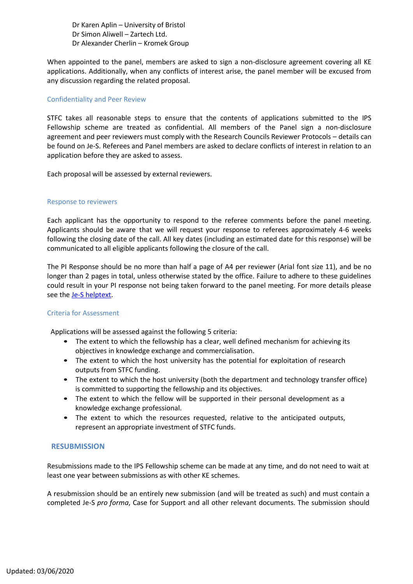Dr Karen Aplin – University of Bristol Dr Simon Aliwell – Zartech Ltd. Dr Alexander Cherlin – Kromek Group

When appointed to the panel, members are asked to sign a non-disclosure agreement covering all KE applications. Additionally, when any conflicts of interest arise, the panel member will be excused from any discussion regarding the related proposal.

#### <span id="page-5-0"></span>Confidentiality and Peer Review

STFC takes all reasonable steps to ensure that the contents of applications submitted to the IPS Fellowship scheme are treated as confidential. All members of the Panel sign a non‐disclosure agreement and peer reviewers must comply with the Research Councils Reviewer Protocols – details can be found on Je‐S. Referees and Panel members are asked to declare conflicts of interest in relation to an application before they are asked to assess.

Each proposal will be assessed by external reviewers.

#### <span id="page-5-1"></span>Response to reviewers

Each applicant has the opportunity to respond to the referee comments before the panel meeting. Applicants should be aware that we will request your response to referees approximately 4-6 weeks following the closing date of the call. All key dates (including an estimated date for this response) will be communicated to all eligible applicants following the closure of the call.

The PI Response should be no more than half a page of A4 per reviewer (Arial font size 11), and be no longer than 2 pages in total, unless otherwise stated by the office. Failure to adhere to these guidelines could result in your PI response not being taken forward to the panel meeting. For more details please see the [Je-S helptext.](https://je-s.rcuk.ac.uk/handbook/index.htm#pages/JeSHelpdesk.htm)

#### <span id="page-5-2"></span>Criteria for Assessment

Applications will be assessed against the following 5 criteria:

- The extent to which the fellowship has a clear, well defined mechanism for achieving its objectives in knowledge exchange and commercialisation.
- The extent to which the host university has the potential for exploitation of research outputs from STFC funding.
- The extent to which the host university (both the department and technology transfer office) is committed to supporting the fellowship and its objectives.
- The extent to which the fellow will be supported in their personal development as a knowledge exchange professional.
- The extent to which the resources requested, relative to the anticipated outputs, represent an appropriate investment of STFC funds.

#### <span id="page-5-3"></span>**RESUBMISSION**

Resubmissions made to the IPS Fellowship scheme can be made at any time, and do not need to wait at least one year between submissions as with other KE schemes.

A resubmission should be an entirely new submission (and will be treated as such) and must contain a completed Je-S *pro forma*, Case for Support and all other relevant documents. The submission should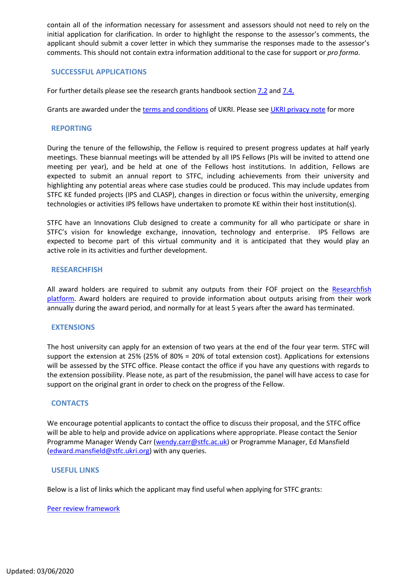contain all of the information necessary for assessment and assessors should not need to rely on the initial application for clarification. In order to highlight the response to the assessor's comments, the applicant should submit a cover letter in which they summarise the responses made to the assessor's comments. This should not contain extra information additional to the case for support or *pro forma*.

# <span id="page-6-0"></span>**SUCCESSFUL APPLICATIONS**

For further details please see the research grants handbook sectio[n 7.2](https://stfc.ukri.org/research-grants-handbook/7-administration-of-current-research-grants/7-2-announcement-of-a-research-grant/) an[d 7.4.](https://stfc.ukri.org/research-grants-handbook/7-administration-of-current-research-grants/7-4-starting-a-research-grant/)

Grants are awarded under th[e terms and conditions](https://je-s.rcuk.ac.uk/Jes2WebLoginSite/TermsConditions.aspx?mode=accountsetup) of UKRI. Please see [UKRI privacy note](https://www.ukri.org/privacy-notice/) for more

#### <span id="page-6-1"></span>**REPORTING**

During the tenure of the fellowship, the Fellow is required to present progress updates at half yearly meetings. These biannual meetings will be attended by all IPS Fellows (PIs will be invited to attend one meeting per year), and be held at one of the Fellows host institutions. In addition, Fellows are expected to submit an annual report to STFC, including achievements from their university and highlighting any potential areas where case studies could be produced. This may include updates from STFC KE funded projects (IPS and CLASP), changes in direction or focus within the university, emerging technologies or activities IPS fellows have undertaken to promote KE within their host institution(s).

STFC have an Innovations Club designed to create a community for all who participate or share in STFC's vision for knowledge exchange, innovation, technology and enterprise. IPS Fellows are expected to become part of this virtual community and it is anticipated that they would play an active role in its activities and further development.

#### <span id="page-6-2"></span>**RESEARCHFISH**

All award holders are required to submit any outputs from their FOF project on the Researchfish [platform.](https://www.researchfish.net/) Award holders are required to provide information about outputs arising from their work annually during the award period, and normally for at least 5 years after the award has terminated.

#### <span id="page-6-3"></span>**EXTENSIONS**

The host university can apply for an extension of two years at the end of the four year term. STFC will support the extension at 25% (25% of 80% = 20% of total extension cost). Applications for extensions will be assessed by the STFC office. Please contact the office if you have any questions with regards to the extension possibility. Please note, as part of the resubmission, the panel will have access to case for support on the original grant in order to check on the progress of the Fellow.

#### <span id="page-6-4"></span>**CONTACTS**

We encourage potential applicants to contact the office to discuss their proposal, and the STFC office will be able to help and provide advice on applications where appropriate. Please contact the Senior Programme Manager Wendy Carr [\(wendy.carr@stfc.ac.uk\)](mailto:wendy.carr@stfc.ac.uk) or Programme Manager, Ed Mansfield (edward.mansfield@stfc.ukri.org) with any queries.

#### <span id="page-6-5"></span>**USEFUL LINKS**

Below is a list of links which the applicant may find useful when applying for STFC grants:

#### [Peer review framework](http://www.stfc.ac.uk/files/peer-review-framework/)